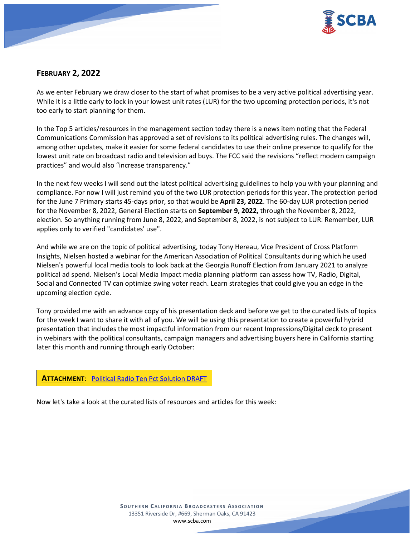

# **FEBRUARY 2, 2022**

As we enter February we draw closer to the start of what promises to be a very active political advertising year. While it is a little early to lock in your lowest unit rates (LUR) for the two upcoming protection periods, it's not too early to start planning for them.

In the Top 5 articles/resources in the management section today there is a news item noting that the Federal Communications Commission has approved a set of revisions to its political advertising rules. The changes will, among other updates, make it easier for some federal candidates to use their online presence to qualify for the lowest unit rate on broadcast radio and television ad buys. The FCC said the revisions "reflect modern campaign practices" and would also "increase transparency."

In the next few weeks I will send out the latest political advertising guidelines to help you with your planning and compliance. For now I will just remind you of the two LUR protection periods for this year. The protection period for the June 7 Primary starts 45-days prior, so that would be **April 23, 2022**. The 60-day LUR protection period for the November 8, 2022, General Election starts on **September 9, 2022,** through the November 8, 2022, election. So anything running from June 8, 2022, and September 8, 2022, is not subject to LUR. Remember, LUR applies only to verified "candidates' use".

And while we are on the topic of political advertising, today Tony Hereau, Vice President of Cross Platform Insights, Nielsen hosted a webinar for the American Association of Political Consultants during which he used Nielsen's powerful local media tools to look back at the Georgia Runoff Election from January 2021 to analyze political ad spend. Nielsen's Local Media Impact media planning platform can assess how TV, Radio, Digital, Social and Connected TV can optimize swing voter reach. Learn strategies that could give you an edge in the upcoming election cycle.

Tony provided me with an advance copy of his presentation deck and before we get to the curated lists of topics for the week I want to share it with all of you. We will be using this presentation to create a powerful hybrid presentation that includes the most impactful information from our recent Impressions/Digital deck to present in webinars with the political consultants, campaign managers and advertising buyers here in California starting later this month and running through early October:

**ATTACHMENT**: [Political Radio Ten Pct Solution DRAFT](https://scba.com/wp-content/uploads/2022/02/Poltical-Radio-Ten-Pct-Solution-1.21.22-DRAFT.pdf)

Now let's take a look at the curated lists of resources and articles for this week: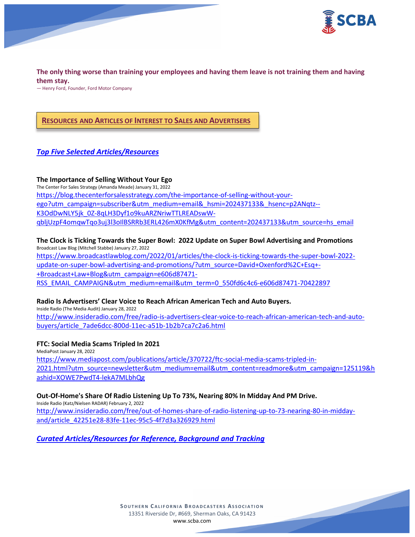

**The only thing worse than training your employees and having them leave is not training them and having them stay.**

— Henry Ford, Founder, Ford Motor Company

### **RESOURCES AND ARTICLES OF INTEREST TO SALES AND ADVERTISERS**

### *Top Five Selected Articles/Resources*

#### **The Importance of Selling Without Your Ego**

The Center For Sales Strategy (Amanda Meade) January 31, 2022 [https://blog.thecenterforsalesstrategy.com/the-importance-of-selling-without-your](https://blog.thecenterforsalesstrategy.com/the-importance-of-selling-without-your-ego?utm_campaign=subscriber&utm_medium=email&_hsmi=202437133&_hsenc=p2ANqtz--K3OdDwNLY5jk_0Z-8qLH3Dyf1o9kuARZNriwTTLREADswW-qbljUzpF4omqwTqo3uj3l3oIlBSRRb3ERL426mX0KfMg&utm_content=202437133&utm_source=hs_email)[ego?utm\\_campaign=subscriber&utm\\_medium=email&\\_hsmi=202437133&\\_hsenc=p2ANqtz--](https://blog.thecenterforsalesstrategy.com/the-importance-of-selling-without-your-ego?utm_campaign=subscriber&utm_medium=email&_hsmi=202437133&_hsenc=p2ANqtz--K3OdDwNLY5jk_0Z-8qLH3Dyf1o9kuARZNriwTTLREADswW-qbljUzpF4omqwTqo3uj3l3oIlBSRRb3ERL426mX0KfMg&utm_content=202437133&utm_source=hs_email) [K3OdDwNLY5jk\\_0Z-8qLH3Dyf1o9kuARZNriwTTLREADswW](https://blog.thecenterforsalesstrategy.com/the-importance-of-selling-without-your-ego?utm_campaign=subscriber&utm_medium=email&_hsmi=202437133&_hsenc=p2ANqtz--K3OdDwNLY5jk_0Z-8qLH3Dyf1o9kuARZNriwTTLREADswW-qbljUzpF4omqwTqo3uj3l3oIlBSRRb3ERL426mX0KfMg&utm_content=202437133&utm_source=hs_email)[qbljUzpF4omqwTqo3uj3l3oIlBSRRb3ERL426mX0KfMg&utm\\_content=202437133&utm\\_source=hs\\_email](https://blog.thecenterforsalesstrategy.com/the-importance-of-selling-without-your-ego?utm_campaign=subscriber&utm_medium=email&_hsmi=202437133&_hsenc=p2ANqtz--K3OdDwNLY5jk_0Z-8qLH3Dyf1o9kuARZNriwTTLREADswW-qbljUzpF4omqwTqo3uj3l3oIlBSRRb3ERL426mX0KfMg&utm_content=202437133&utm_source=hs_email)

#### **The Clock is Ticking Towards the Super Bowl: 2022 Update on Super Bowl Advertising and Promotions** Broadcast Law Blog (Mitchell Stabbe) January 27, 2022

[https://www.broadcastlawblog.com/2022/01/articles/the-clock-is-ticking-towards-the-super-bowl-2022](https://www.broadcastlawblog.com/2022/01/articles/the-clock-is-ticking-towards-the-super-bowl-2022-update-on-super-bowl-advertising-and-promotions/?utm_source=David+Oxenford%2C+Esq+-+Broadcast+Law+Blog&utm_campaign=e606d87471-RSS_EMAIL_CAMPAIGN&utm_medium=email&utm_term=0_550fd6c4c6-e606d87471-70422897) [update-on-super-bowl-advertising-and-promotions/?utm\\_source=David+Oxenford%2C+Esq+-](https://www.broadcastlawblog.com/2022/01/articles/the-clock-is-ticking-towards-the-super-bowl-2022-update-on-super-bowl-advertising-and-promotions/?utm_source=David+Oxenford%2C+Esq+-+Broadcast+Law+Blog&utm_campaign=e606d87471-RSS_EMAIL_CAMPAIGN&utm_medium=email&utm_term=0_550fd6c4c6-e606d87471-70422897) [+Broadcast+Law+Blog&utm\\_campaign=e606d87471-](https://www.broadcastlawblog.com/2022/01/articles/the-clock-is-ticking-towards-the-super-bowl-2022-update-on-super-bowl-advertising-and-promotions/?utm_source=David+Oxenford%2C+Esq+-+Broadcast+Law+Blog&utm_campaign=e606d87471-RSS_EMAIL_CAMPAIGN&utm_medium=email&utm_term=0_550fd6c4c6-e606d87471-70422897) [RSS\\_EMAIL\\_CAMPAIGN&utm\\_medium=email&utm\\_term=0\\_550fd6c4c6-e606d87471-70422897](https://www.broadcastlawblog.com/2022/01/articles/the-clock-is-ticking-towards-the-super-bowl-2022-update-on-super-bowl-advertising-and-promotions/?utm_source=David+Oxenford%2C+Esq+-+Broadcast+Law+Blog&utm_campaign=e606d87471-RSS_EMAIL_CAMPAIGN&utm_medium=email&utm_term=0_550fd6c4c6-e606d87471-70422897)

#### **Radio Is Advertisers' Clear Voice to Reach African American Tech and Auto Buyers.**

Inside Radio (The Media Audit) January 28, 2022 [http://www.insideradio.com/free/radio-is-advertisers-clear-voice-to-reach-african-american-tech-and-auto](http://www.insideradio.com/free/radio-is-advertisers-clear-voice-to-reach-african-american-tech-and-auto-buyers/article_7ade6dcc-800d-11ec-a51b-1b2b7ca7c2a6.html)[buyers/article\\_7ade6dcc-800d-11ec-a51b-1b2b7ca7c2a6.html](http://www.insideradio.com/free/radio-is-advertisers-clear-voice-to-reach-african-american-tech-and-auto-buyers/article_7ade6dcc-800d-11ec-a51b-1b2b7ca7c2a6.html)

#### **FTC: Social Media Scams Tripled In 2021**

MediaPost January 28, 2022 [https://www.mediapost.com/publications/article/370722/ftc-social-media-scams-tripled-in-](https://www.mediapost.com/publications/article/370722/ftc-social-media-scams-tripled-in-2021.html?utm_source=newsletter&utm_medium=email&utm_content=readmore&utm_campaign=125119&hashid=XOWE7PwdT4-lekA7MLbhQg)[2021.html?utm\\_source=newsletter&utm\\_medium=email&utm\\_content=readmore&utm\\_campaign=125119&h](https://www.mediapost.com/publications/article/370722/ftc-social-media-scams-tripled-in-2021.html?utm_source=newsletter&utm_medium=email&utm_content=readmore&utm_campaign=125119&hashid=XOWE7PwdT4-lekA7MLbhQg) [ashid=XOWE7PwdT4-lekA7MLbhQg](https://www.mediapost.com/publications/article/370722/ftc-social-media-scams-tripled-in-2021.html?utm_source=newsletter&utm_medium=email&utm_content=readmore&utm_campaign=125119&hashid=XOWE7PwdT4-lekA7MLbhQg)

#### **Out-Of-Home's Share Of Radio Listening Up To 73%, Nearing 80% In Midday And PM Drive.** Inside Radio (Katz/Nielsen RADAR) February 2, 2022

[http://www.insideradio.com/free/out-of-homes-share-of-radio-listening-up-to-73-nearing-80-in-midday](http://www.insideradio.com/free/out-of-homes-share-of-radio-listening-up-to-73-nearing-80-in-midday-and/article_42251e28-83fe-11ec-95c5-4f7d3a326929.html)[and/article\\_42251e28-83fe-11ec-95c5-4f7d3a326929.html](http://www.insideradio.com/free/out-of-homes-share-of-radio-listening-up-to-73-nearing-80-in-midday-and/article_42251e28-83fe-11ec-95c5-4f7d3a326929.html)

## *Curated Articles/Resources for Reference, Background and Tracking*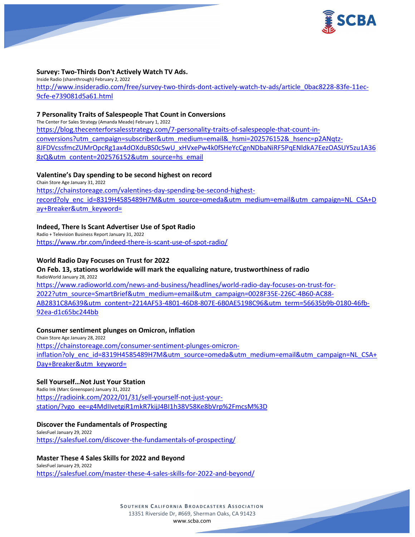

#### **Survey: Two-Thirds Don't Actively Watch TV Ads.**

Inside Radio (sharethrough) February 2, 2022 [http://www.insideradio.com/free/survey-two-thirds-dont-actively-watch-tv-ads/article\\_0bac8228-83fe-11ec-](http://www.insideradio.com/free/survey-two-thirds-dont-actively-watch-tv-ads/article_0bac8228-83fe-11ec-9cfe-e739081d5a61.html)[9cfe-e739081d5a61.html](http://www.insideradio.com/free/survey-two-thirds-dont-actively-watch-tv-ads/article_0bac8228-83fe-11ec-9cfe-e739081d5a61.html)

#### **7 Personality Traits of Salespeople That Count in Conversions**

The Center For Sales Strategy (Amanda Meade) February 1, 2022

[https://blog.thecenterforsalesstrategy.com/7-personality-traits-of-salespeople-that-count-in](https://blog.thecenterforsalesstrategy.com/7-personality-traits-of-salespeople-that-count-in-conversions?utm_campaign=subscriber&utm_medium=email&_hsmi=202576152&_hsenc=p2ANqtz-8JFDVcssfmcZUMrOpcRg1ax4dOXduBS0cSwU_xHVxePw4k0fSHeYcCgnNDbaNiRF5PqENldkA7EezOASUY5zu1A368zQ&utm_content=202576152&utm_source=hs_email)[conversions?utm\\_campaign=subscriber&utm\\_medium=email&\\_hsmi=202576152&\\_hsenc=p2ANqtz-](https://blog.thecenterforsalesstrategy.com/7-personality-traits-of-salespeople-that-count-in-conversions?utm_campaign=subscriber&utm_medium=email&_hsmi=202576152&_hsenc=p2ANqtz-8JFDVcssfmcZUMrOpcRg1ax4dOXduBS0cSwU_xHVxePw4k0fSHeYcCgnNDbaNiRF5PqENldkA7EezOASUY5zu1A368zQ&utm_content=202576152&utm_source=hs_email)[8JFDVcssfmcZUMrOpcRg1ax4dOXduBS0cSwU\\_xHVxePw4k0fSHeYcCgnNDbaNiRF5PqENldkA7EezOASUY5zu1A36](https://blog.thecenterforsalesstrategy.com/7-personality-traits-of-salespeople-that-count-in-conversions?utm_campaign=subscriber&utm_medium=email&_hsmi=202576152&_hsenc=p2ANqtz-8JFDVcssfmcZUMrOpcRg1ax4dOXduBS0cSwU_xHVxePw4k0fSHeYcCgnNDbaNiRF5PqENldkA7EezOASUY5zu1A368zQ&utm_content=202576152&utm_source=hs_email) [8zQ&utm\\_content=202576152&utm\\_source=hs\\_email](https://blog.thecenterforsalesstrategy.com/7-personality-traits-of-salespeople-that-count-in-conversions?utm_campaign=subscriber&utm_medium=email&_hsmi=202576152&_hsenc=p2ANqtz-8JFDVcssfmcZUMrOpcRg1ax4dOXduBS0cSwU_xHVxePw4k0fSHeYcCgnNDbaNiRF5PqENldkA7EezOASUY5zu1A368zQ&utm_content=202576152&utm_source=hs_email)

### **Valentine's Day spending to be second highest on record**

Chain Store Age January 31, 2022 [https://chainstoreage.com/valentines-day-spending-be-second-highest](https://chainstoreage.com/valentines-day-spending-be-second-highest-record?oly_enc_id=8319H4585489H7M&utm_source=omeda&utm_medium=email&utm_campaign=NL_CSA+Day+Breaker&utm_keyword=)[record?oly\\_enc\\_id=8319H4585489H7M&utm\\_source=omeda&utm\\_medium=email&utm\\_campaign=NL\\_CSA+D](https://chainstoreage.com/valentines-day-spending-be-second-highest-record?oly_enc_id=8319H4585489H7M&utm_source=omeda&utm_medium=email&utm_campaign=NL_CSA+Day+Breaker&utm_keyword=) [ay+Breaker&utm\\_keyword=](https://chainstoreage.com/valentines-day-spending-be-second-highest-record?oly_enc_id=8319H4585489H7M&utm_source=omeda&utm_medium=email&utm_campaign=NL_CSA+Day+Breaker&utm_keyword=)

## **Indeed, There Is Scant Advertiser Use of Spot Radio**

Radio + Television Business Report January 31, 2022 <https://www.rbr.com/indeed-there-is-scant-use-of-spot-radio/>

### **World Radio Day Focuses on Trust for 2022**

#### **On Feb. 13, stations worldwide will mark the equalizing nature, trustworthiness of radio** RadioWorld January 28, 2022

[https://www.radioworld.com/news-and-business/headlines/world-radio-day-focuses-on-trust-for-](https://www.radioworld.com/news-and-business/headlines/world-radio-day-focuses-on-trust-for-2022?utm_source=SmartBrief&utm_medium=email&utm_campaign=0028F35E-226C-4B60-AC88-AB2831C8A639&utm_content=2214AF53-4801-46D8-807E-6B0AE5198C96&utm_term=56635b9b-0180-46fb-92ea-d1c65bc244bb)[2022?utm\\_source=SmartBrief&utm\\_medium=email&utm\\_campaign=0028F35E-226C-4B60-AC88-](https://www.radioworld.com/news-and-business/headlines/world-radio-day-focuses-on-trust-for-2022?utm_source=SmartBrief&utm_medium=email&utm_campaign=0028F35E-226C-4B60-AC88-AB2831C8A639&utm_content=2214AF53-4801-46D8-807E-6B0AE5198C96&utm_term=56635b9b-0180-46fb-92ea-d1c65bc244bb) [AB2831C8A639&utm\\_content=2214AF53-4801-46D8-807E-6B0AE5198C96&utm\\_term=56635b9b-0180-46fb-](https://www.radioworld.com/news-and-business/headlines/world-radio-day-focuses-on-trust-for-2022?utm_source=SmartBrief&utm_medium=email&utm_campaign=0028F35E-226C-4B60-AC88-AB2831C8A639&utm_content=2214AF53-4801-46D8-807E-6B0AE5198C96&utm_term=56635b9b-0180-46fb-92ea-d1c65bc244bb)[92ea-d1c65bc244bb](https://www.radioworld.com/news-and-business/headlines/world-radio-day-focuses-on-trust-for-2022?utm_source=SmartBrief&utm_medium=email&utm_campaign=0028F35E-226C-4B60-AC88-AB2831C8A639&utm_content=2214AF53-4801-46D8-807E-6B0AE5198C96&utm_term=56635b9b-0180-46fb-92ea-d1c65bc244bb)

#### **Consumer sentiment plunges on Omicron, inflation**

Chain Store Age January 28, 2022 [https://chainstoreage.com/consumer-sentiment-plunges-omicron](https://chainstoreage.com/consumer-sentiment-plunges-omicron-inflation?oly_enc_id=8319H4585489H7M&utm_source=omeda&utm_medium=email&utm_campaign=NL_CSA+Day+Breaker&utm_keyword=)[inflation?oly\\_enc\\_id=8319H4585489H7M&utm\\_source=omeda&utm\\_medium=email&utm\\_campaign=NL\\_CSA+](https://chainstoreage.com/consumer-sentiment-plunges-omicron-inflation?oly_enc_id=8319H4585489H7M&utm_source=omeda&utm_medium=email&utm_campaign=NL_CSA+Day+Breaker&utm_keyword=) [Day+Breaker&utm\\_keyword=](https://chainstoreage.com/consumer-sentiment-plunges-omicron-inflation?oly_enc_id=8319H4585489H7M&utm_source=omeda&utm_medium=email&utm_campaign=NL_CSA+Day+Breaker&utm_keyword=)

#### **Sell Yourself…Not Just Your Station**

Radio Ink (Marc Greenspan) January 31, 2022 [https://radioink.com/2022/01/31/sell-yourself-not-just-your](https://radioink.com/2022/01/31/sell-yourself-not-just-your-station/?vgo_ee=g4MdIIvetgiR1mkR7kijJ4BI1h38V58Ke8bVrp%2FmcsM%3D)[station/?vgo\\_ee=g4MdIIvetgiR1mkR7kijJ4BI1h38V58Ke8bVrp%2FmcsM%3D](https://radioink.com/2022/01/31/sell-yourself-not-just-your-station/?vgo_ee=g4MdIIvetgiR1mkR7kijJ4BI1h38V58Ke8bVrp%2FmcsM%3D)

## **Discover the Fundamentals of Prospecting**

SalesFuel January 29, 2022 <https://salesfuel.com/discover-the-fundamentals-of-prospecting/>

## **Master These 4 Sales Skills for 2022 and Beyond**

SalesFuel January 29, 2022 <https://salesfuel.com/master-these-4-sales-skills-for-2022-and-beyond/>

> **SOUTHERN C ALIFORNIA B ROADCASTERS ASSOCIATION** 13351 Riverside Dr, #669, Sherman Oaks, CA 91423 [www.scba.com](http://www.scba.com/)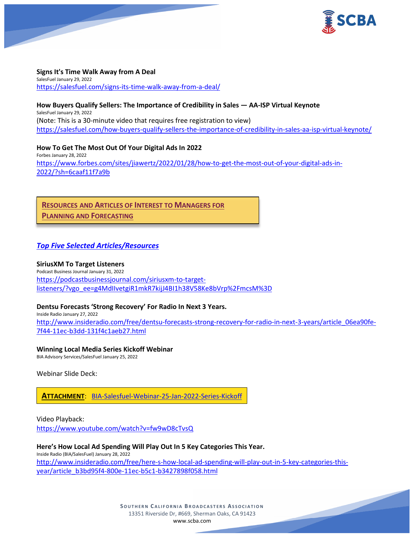

# **Signs It's Time Walk Away from A Deal**

SalesFuel January 29, 2022 <https://salesfuel.com/signs-its-time-walk-away-from-a-deal/>

**How Buyers Qualify Sellers: The Importance of Credibility in Sales — AA-ISP Virtual Keynote** SalesFuel January 29, 2022 (Note: This is a 30-minute video that requires free registration to view) <https://salesfuel.com/how-buyers-qualify-sellers-the-importance-of-credibility-in-sales-aa-isp-virtual-keynote/>

**How To Get The Most Out Of Your Digital Ads In 2022** Forbes January 28, 2022 [https://www.forbes.com/sites/jiawertz/2022/01/28/how-to-get-the-most-out-of-your-digital-ads-in-](https://www.forbes.com/sites/jiawertz/2022/01/28/how-to-get-the-most-out-of-your-digital-ads-in-2022/?sh=6caaf11f7a9b)[2022/?sh=6caaf11f7a9b](https://www.forbes.com/sites/jiawertz/2022/01/28/how-to-get-the-most-out-of-your-digital-ads-in-2022/?sh=6caaf11f7a9b)

**RESOURCES AND ARTICLES OF INTEREST TO MANAGERS FOR PLANNING AND FORECASTING**

## *Top Five Selected Articles/Resources*

#### **SiriusXM To Target Listeners**

Podcast Business Journal January 31, 2022 [https://podcastbusinessjournal.com/siriusxm-to-target](https://podcastbusinessjournal.com/siriusxm-to-target-listeners/?vgo_ee=g4MdIIvetgiR1mkR7kijJ4BI1h38V58Ke8bVrp%2FmcsM%3D)[listeners/?vgo\\_ee=g4MdIIvetgiR1mkR7kijJ4BI1h38V58Ke8bVrp%2FmcsM%3D](https://podcastbusinessjournal.com/siriusxm-to-target-listeners/?vgo_ee=g4MdIIvetgiR1mkR7kijJ4BI1h38V58Ke8bVrp%2FmcsM%3D)

## **Dentsu Forecasts 'Strong Recovery' For Radio In Next 3 Years.**

Inside Radio January 27, 2022 [http://www.insideradio.com/free/dentsu-forecasts-strong-recovery-for-radio-in-next-3-years/article\\_06ea90fe-](http://www.insideradio.com/free/dentsu-forecasts-strong-recovery-for-radio-in-next-3-years/article_06ea90fe-7f44-11ec-b3dd-131f4c1aeb27.html)[7f44-11ec-b3dd-131f4c1aeb27.html](http://www.insideradio.com/free/dentsu-forecasts-strong-recovery-for-radio-in-next-3-years/article_06ea90fe-7f44-11ec-b3dd-131f4c1aeb27.html)

#### **Winning Local Media Series Kickoff Webinar**

BIA Advisory Services/SalesFuel January 25, 2022

Webinar Slide Deck:

**ATTACHMENT**: [BIA-Salesfuel-Webinar-25-Jan-2022-Series-Kickoff](https://scba.com/wp-content/uploads/2022/02/BIA-Salesfuel-Webinar-25-Jan-2022-Series-Kickoff.pdf)

Video Playback:

<https://www.youtube.com/watch?v=fw9wD8cTvsQ>

**Here's How Local Ad Spending Will Play Out In 5 Key Categories This Year.** Inside Radio (BIA/SalesFuel) January 28, 2022 [http://www.insideradio.com/free/here-s-how-local-ad-spending-will-play-out-in-5-key-categories-this](http://www.insideradio.com/free/here-s-how-local-ad-spending-will-play-out-in-5-key-categories-this-year/article_b3bd95f4-800e-11ec-b5c1-b3427898f058.html)[year/article\\_b3bd95f4-800e-11ec-b5c1-b3427898f058.html](http://www.insideradio.com/free/here-s-how-local-ad-spending-will-play-out-in-5-key-categories-this-year/article_b3bd95f4-800e-11ec-b5c1-b3427898f058.html)

> **SOUTHERN C ALIFORNIA B ROADCASTERS ASSOCIATION** 13351 Riverside Dr, #669, Sherman Oaks, CA 91423 [www.scba.com](http://www.scba.com/)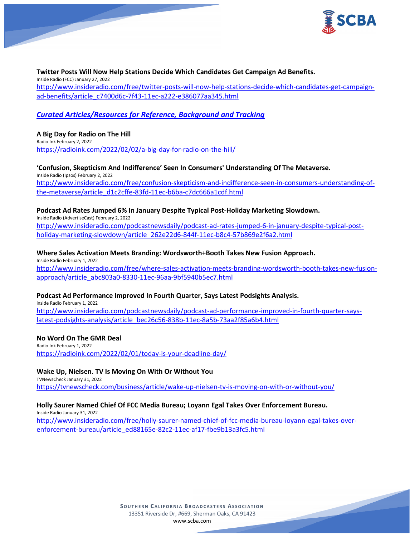

#### **Twitter Posts Will Now Help Stations Decide Which Candidates Get Campaign Ad Benefits.** Inside Radio (FCC) January 27, 2022 [http://www.insideradio.com/free/twitter-posts-will-now-help-stations-decide-which-candidates-get-campaign](http://www.insideradio.com/free/twitter-posts-will-now-help-stations-decide-which-candidates-get-campaign-ad-benefits/article_c7400d6c-7f43-11ec-a222-e386077aa345.html)[ad-benefits/article\\_c7400d6c-7f43-11ec-a222-e386077aa345.html](http://www.insideradio.com/free/twitter-posts-will-now-help-stations-decide-which-candidates-get-campaign-ad-benefits/article_c7400d6c-7f43-11ec-a222-e386077aa345.html)

# *Curated Articles/Resources for Reference, Background and Tracking*

#### **A Big Day for Radio on The Hill** Radio Ink February 2, 2022 <https://radioink.com/2022/02/02/a-big-day-for-radio-on-the-hill/>

## **'Confusion, Skepticism And Indifference' Seen In Consumers' Understanding Of The Metaverse.**

Inside Radio (Ipsos) February 2, 2022 [http://www.insideradio.com/free/confusion-skepticism-and-indifference-seen-in-consumers-understanding-of](http://www.insideradio.com/free/confusion-skepticism-and-indifference-seen-in-consumers-understanding-of-the-metaverse/article_d1c2cffe-83fd-11ec-b6ba-c7dc666a1cdf.html)[the-metaverse/article\\_d1c2cffe-83fd-11ec-b6ba-c7dc666a1cdf.html](http://www.insideradio.com/free/confusion-skepticism-and-indifference-seen-in-consumers-understanding-of-the-metaverse/article_d1c2cffe-83fd-11ec-b6ba-c7dc666a1cdf.html)

### **Podcast Ad Rates Jumped 6% In January Despite Typical Post-Holiday Marketing Slowdown.**

Inside Radio (AdvertiseCast) February 2, 2022 [http://www.insideradio.com/podcastnewsdaily/podcast-ad-rates-jumped-6-in-january-despite-typical-post](http://www.insideradio.com/podcastnewsdaily/podcast-ad-rates-jumped-6-in-january-despite-typical-post-holiday-marketing-slowdown/article_262e22d6-844f-11ec-b8c4-57b869e2f6a2.html)[holiday-marketing-slowdown/article\\_262e22d6-844f-11ec-b8c4-57b869e2f6a2.html](http://www.insideradio.com/podcastnewsdaily/podcast-ad-rates-jumped-6-in-january-despite-typical-post-holiday-marketing-slowdown/article_262e22d6-844f-11ec-b8c4-57b869e2f6a2.html)

**Where Sales Activation Meets Branding: Wordsworth+Booth Takes New Fusion Approach.** Inside Radio February 1, 2022 [http://www.insideradio.com/free/where-sales-activation-meets-branding-wordsworth-booth-takes-new-fusion](http://www.insideradio.com/free/where-sales-activation-meets-branding-wordsworth-booth-takes-new-fusion-approach/article_abc803a0-8330-11ec-96aa-9bf5940b5ec7.html)[approach/article\\_abc803a0-8330-11ec-96aa-9bf5940b5ec7.html](http://www.insideradio.com/free/where-sales-activation-meets-branding-wordsworth-booth-takes-new-fusion-approach/article_abc803a0-8330-11ec-96aa-9bf5940b5ec7.html)

#### **Podcast Ad Performance Improved In Fourth Quarter, Says Latest Podsights Analysis.**

inside Radio February 1, 2022 [http://www.insideradio.com/podcastnewsdaily/podcast-ad-performance-improved-in-fourth-quarter-says](http://www.insideradio.com/podcastnewsdaily/podcast-ad-performance-improved-in-fourth-quarter-says-latest-podsights-analysis/article_bec26c56-838b-11ec-8a5b-73aa2f85a6b4.html)[latest-podsights-analysis/article\\_bec26c56-838b-11ec-8a5b-73aa2f85a6b4.html](http://www.insideradio.com/podcastnewsdaily/podcast-ad-performance-improved-in-fourth-quarter-says-latest-podsights-analysis/article_bec26c56-838b-11ec-8a5b-73aa2f85a6b4.html)

#### **No Word On The GMR Deal**

Radio Ink February 1, 2022 <https://radioink.com/2022/02/01/today-is-your-deadline-day/>

#### **Wake Up, Nielsen. TV Is Moving On With Or Without You**

TVNewsCheck January 31, 2022 <https://tvnewscheck.com/business/article/wake-up-nielsen-tv-is-moving-on-with-or-without-you/>

## **Holly Saurer Named Chief Of FCC Media Bureau; Loyann Egal Takes Over Enforcement Bureau.**

Inside Radio January 31, 2022 [http://www.insideradio.com/free/holly-saurer-named-chief-of-fcc-media-bureau-loyann-egal-takes-over](http://www.insideradio.com/free/holly-saurer-named-chief-of-fcc-media-bureau-loyann-egal-takes-over-enforcement-bureau/article_ed88165e-82c2-11ec-af17-fbe9b13a3fc5.html)[enforcement-bureau/article\\_ed88165e-82c2-11ec-af17-fbe9b13a3fc5.html](http://www.insideradio.com/free/holly-saurer-named-chief-of-fcc-media-bureau-loyann-egal-takes-over-enforcement-bureau/article_ed88165e-82c2-11ec-af17-fbe9b13a3fc5.html)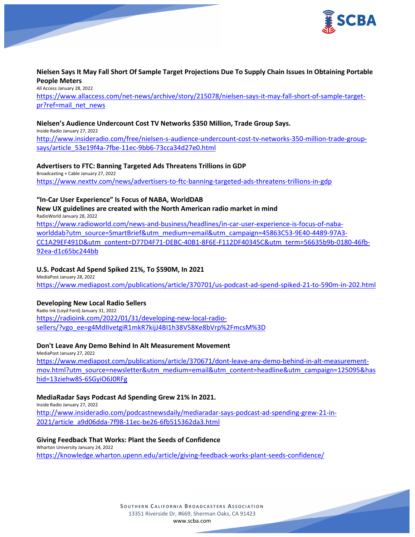

## **Nielsen Says It May Fall Short Of Sample Target Projections Due To Supply Chain Issues In Obtaining Portable People Meters**

All Access January 28, 2022 [https://www.allaccess.com/net-news/archive/story/215078/nielsen-says-it-may-fall-short-of-sample-target](https://www.allaccess.com/net-news/archive/story/215078/nielsen-says-it-may-fall-short-of-sample-target-pr?ref=mail_net_news)[pr?ref=mail\\_net\\_news](https://www.allaccess.com/net-news/archive/story/215078/nielsen-says-it-may-fall-short-of-sample-target-pr?ref=mail_net_news)

### **Nielsen's Audience Undercount Cost TV Networks \$350 Million, Trade Group Says.**

Inside Radio January 27, 2022

[http://www.insideradio.com/free/nielsen-s-audience-undercount-cost-tv-networks-350-million-trade-group](http://www.insideradio.com/free/nielsen-s-audience-undercount-cost-tv-networks-350-million-trade-group-says/article_53e19f4a-7fbe-11ec-9bb6-73cca34d27e0.html)[says/article\\_53e19f4a-7fbe-11ec-9bb6-73cca34d27e0.html](http://www.insideradio.com/free/nielsen-s-audience-undercount-cost-tv-networks-350-million-trade-group-says/article_53e19f4a-7fbe-11ec-9bb6-73cca34d27e0.html)

## **Advertisers to FTC: Banning Targeted Ads Threatens Trillions in GDP**

Broadcasting + Cable January 27, 2022 <https://www.nexttv.com/news/advertisers-to-ftc-banning-targeted-ads-threatens-trillions-in-gdp>

## **"In-Car User Experience" Is Focus of NABA, WorldDAB**

**New UX guidelines are created with the North American radio market in mind** RadioWorld January 28, 2022 [https://www.radioworld.com/news-and-business/headlines/in-car-user-experience-is-focus-of-naba](https://www.radioworld.com/news-and-business/headlines/in-car-user-experience-is-focus-of-naba-worlddab?utm_source=SmartBrief&utm_medium=email&utm_campaign=45863C53-9E40-4489-97A3-CC1A29EF491D&utm_content=D77D4F71-DEBC-40B1-8F6E-F112DF40345C&utm_term=56635b9b-0180-46fb-92ea-d1c65bc244bb)[worlddab?utm\\_source=SmartBrief&utm\\_medium=email&utm\\_campaign=45863C53-9E40-4489-97A3-](https://www.radioworld.com/news-and-business/headlines/in-car-user-experience-is-focus-of-naba-worlddab?utm_source=SmartBrief&utm_medium=email&utm_campaign=45863C53-9E40-4489-97A3-CC1A29EF491D&utm_content=D77D4F71-DEBC-40B1-8F6E-F112DF40345C&utm_term=56635b9b-0180-46fb-92ea-d1c65bc244bb) [CC1A29EF491D&utm\\_content=D77D4F71-DEBC-40B1-8F6E-F112DF40345C&utm\\_term=56635b9b-0180-46fb-](https://www.radioworld.com/news-and-business/headlines/in-car-user-experience-is-focus-of-naba-worlddab?utm_source=SmartBrief&utm_medium=email&utm_campaign=45863C53-9E40-4489-97A3-CC1A29EF491D&utm_content=D77D4F71-DEBC-40B1-8F6E-F112DF40345C&utm_term=56635b9b-0180-46fb-92ea-d1c65bc244bb)[92ea-d1c65bc244bb](https://www.radioworld.com/news-and-business/headlines/in-car-user-experience-is-focus-of-naba-worlddab?utm_source=SmartBrief&utm_medium=email&utm_campaign=45863C53-9E40-4489-97A3-CC1A29EF491D&utm_content=D77D4F71-DEBC-40B1-8F6E-F112DF40345C&utm_term=56635b9b-0180-46fb-92ea-d1c65bc244bb)

#### **U.S. Podcast Ad Spend Spiked 21%, To \$590M, In 2021** MediaPost January 28, 2022

<https://www.mediapost.com/publications/article/370701/us-podcast-ad-spend-spiked-21-to-590m-in-202.html>

## **Developing New Local Radio Sellers**

Radio Ink (Loyd Ford) January 31, 2022 [https://radioink.com/2022/01/31/developing-new-local-radio](https://radioink.com/2022/01/31/developing-new-local-radio-sellers/?vgo_ee=g4MdIIvetgiR1mkR7kijJ4BI1h38V58Ke8bVrp%2FmcsM%3D)[sellers/?vgo\\_ee=g4MdIIvetgiR1mkR7kijJ4BI1h38V58Ke8bVrp%2FmcsM%3D](https://radioink.com/2022/01/31/developing-new-local-radio-sellers/?vgo_ee=g4MdIIvetgiR1mkR7kijJ4BI1h38V58Ke8bVrp%2FmcsM%3D)

## **Don't Leave Any Demo Behind In Alt Measurement Movement**

MediaPost January 27, 2022 [https://www.mediapost.com/publications/article/370671/dont-leave-any-demo-behind-in-alt-measurement](https://www.mediapost.com/publications/article/370671/dont-leave-any-demo-behind-in-alt-measurement-mov.html?utm_source=newsletter&utm_medium=email&utm_content=headline&utm_campaign=125095&hashid=13ziehw8S-6SGyiO6J0RFg)[mov.html?utm\\_source=newsletter&utm\\_medium=email&utm\\_content=headline&utm\\_campaign=125095&has](https://www.mediapost.com/publications/article/370671/dont-leave-any-demo-behind-in-alt-measurement-mov.html?utm_source=newsletter&utm_medium=email&utm_content=headline&utm_campaign=125095&hashid=13ziehw8S-6SGyiO6J0RFg) [hid=13ziehw8S-6SGyiO6J0RFg](https://www.mediapost.com/publications/article/370671/dont-leave-any-demo-behind-in-alt-measurement-mov.html?utm_source=newsletter&utm_medium=email&utm_content=headline&utm_campaign=125095&hashid=13ziehw8S-6SGyiO6J0RFg)

## **MediaRadar Says Podcast Ad Spending Grew 21% In 2021.**

Inside Radio January 27, 2022 [http://www.insideradio.com/podcastnewsdaily/mediaradar-says-podcast-ad-spending-grew-21-in-](http://www.insideradio.com/podcastnewsdaily/mediaradar-says-podcast-ad-spending-grew-21-in-2021/article_a9d06dda-7f98-11ec-be26-6fb515362da3.html)[2021/article\\_a9d06dda-7f98-11ec-be26-6fb515362da3.html](http://www.insideradio.com/podcastnewsdaily/mediaradar-says-podcast-ad-spending-grew-21-in-2021/article_a9d06dda-7f98-11ec-be26-6fb515362da3.html)

## **Giving Feedback That Works: Plant the Seeds of Confidence**

Wharton University January 24, 2022 <https://knowledge.wharton.upenn.edu/article/giving-feedback-works-plant-seeds-confidence/>

> **SOUTHERN C ALIFORNIA B ROADCASTERS ASSOCIATION** 13351 Riverside Dr, #669, Sherman Oaks, CA 91423 [www.scba.com](http://www.scba.com/)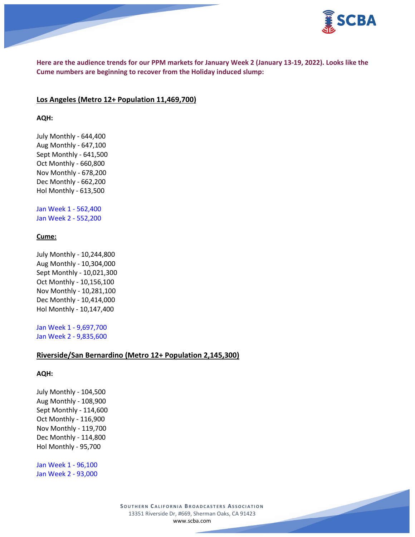

**Here are the audience trends for our PPM markets for January Week 2 (January 13-19, 2022). Looks like the Cume numbers are beginning to recover from the Holiday induced slump:**

#### **Los Angeles (Metro 12+ Population 11,469,700)**

#### **AQH:**

July Monthly - 644,400 Aug Monthly - 647,100 Sept Monthly - 641,500 Oct Monthly - 660,800 Nov Monthly - 678,200 Dec Monthly - 662,200 Hol Monthly - 613,500

Jan Week 1 - 562,400 Jan Week 2 - 552,200

### **Cume:**

July Monthly - 10,244,800 Aug Monthly - 10,304,000 Sept Monthly - 10,021,300 Oct Monthly - 10,156,100 Nov Monthly - 10,281,100 Dec Monthly - 10,414,000 Hol Monthly - 10,147,400

Jan Week 1 - 9,697,700 Jan Week 2 - 9,835,600

### **Riverside/San Bernardino (Metro 12+ Population 2,145,300)**

#### **AQH:**

July Monthly - 104,500 Aug Monthly - 108,900 Sept Monthly - 114,600 Oct Monthly - 116,900 Nov Monthly - 119,700 Dec Monthly - 114,800 Hol Monthly - 95,700

Jan Week 1 - 96,100 Jan Week 2 - 93,000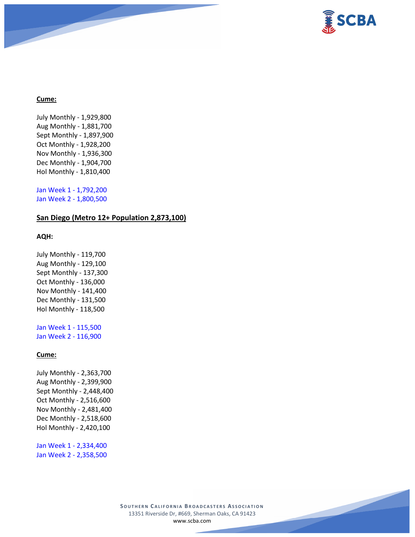

### **Cume:**

July Monthly - 1,929,800 Aug Monthly - 1,881,700 Sept Monthly - 1,897,900 Oct Monthly - 1,928,200 Nov Monthly - 1,936,300 Dec Monthly - 1,904,700 Hol Monthly - 1,810,400

Jan Week 1 - 1,792,200 Jan Week 2 - 1,800,500

## **San Diego (Metro 12+ Population 2,873,100)**

#### **AQH:**

July Monthly - 119,700 Aug Monthly - 129,100 Sept Monthly - 137,300 Oct Monthly - 136,000 Nov Monthly - 141,400 Dec Monthly - 131,500 Hol Monthly - 118,500

Jan Week 1 - 115,500 Jan Week 2 - 116,900

## **Cume:**

July Monthly - 2,363,700 Aug Monthly - 2,399,900 Sept Monthly - 2,448,400 Oct Monthly - 2,516,600 Nov Monthly - 2,481,400 Dec Monthly - 2,518,600 Hol Monthly - 2,420,100

Jan Week 1 - 2,334,400 Jan Week 2 - 2,358,500